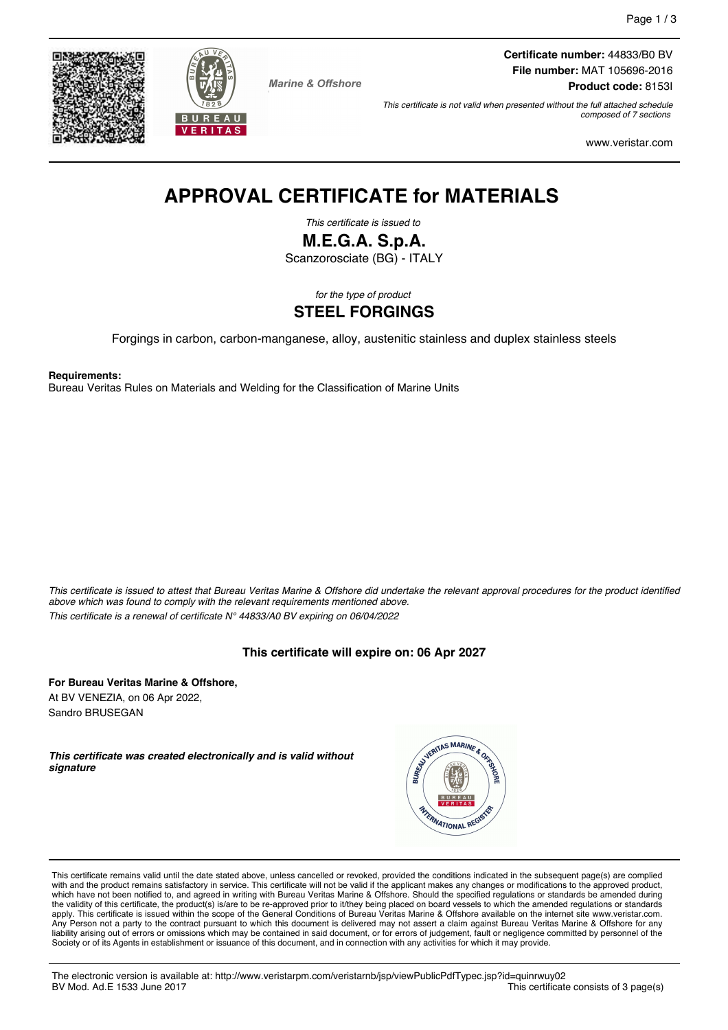



**Marine & Offshore** 

**Certificate number:** 44833/B0 BV **File number:** MAT 105696-2016 **Product code:** 8153I

*This certificate is not valid when presented without the full attached schedule composed of 7 sections*

www.veristar.com

# **APPROVAL CERTIFICATE for MATERIALS**

*This certificate is issued to*

**M.E.G.A. S.p.A.**

Scanzorosciate (BG) - ITALY

*for the type of product*

### **STEEL FORGINGS**

Forgings in carbon, carbon-manganese, alloy, austenitic stainless and duplex stainless steels

**Requirements:**

Bureau Veritas Rules on Materials and Welding for the Classification of Marine Units

*This certificate is issued to attest that Bureau Veritas Marine & Offshore did undertake the relevant approval procedures for the product identified above which was found to comply with the relevant requirements mentioned above. This certificate is a renewal of certificate N° 44833/A0 BV expiring on 06/04/2022*

#### **This certificate will expire on: 06 Apr 2027**

**For Bureau Veritas Marine & Offshore,** At BV VENEZIA, on 06 Apr 2022, Sandro BRUSEGAN

*This certificate was created electronically and is valid without signature*



This certificate remains valid until the date stated above, unless cancelled or revoked, provided the conditions indicated in the subsequent page(s) are complied with and the product remains satisfactory in service. This certificate will not be valid if the applicant makes any changes or modifications to the approved product, which have not been notified to, and agreed in writing with Bureau Veritas Marine & Offshore. Should the specified regulations or standards be amended during the validity of this certificate, the product(s) is/are to be re-approved prior to it/they being placed on board vessels to which the amended regulations or standards apply. This certificate is issued within the scope of the General Conditions of Bureau Veritas Marine & Offshore available on the internet site www.veristar.com. Any Person not a party to the contract pursuant to which this document is delivered may not assert a claim against Bureau Veritas Marine & Offshore for any liability arising out of errors or omissions which may be contained in said document, or for errors of judgement, fault or negligence committed by personnel of the Society or of its Agents in establishment or issuance of this document, and in connection with any activities for which it may provide.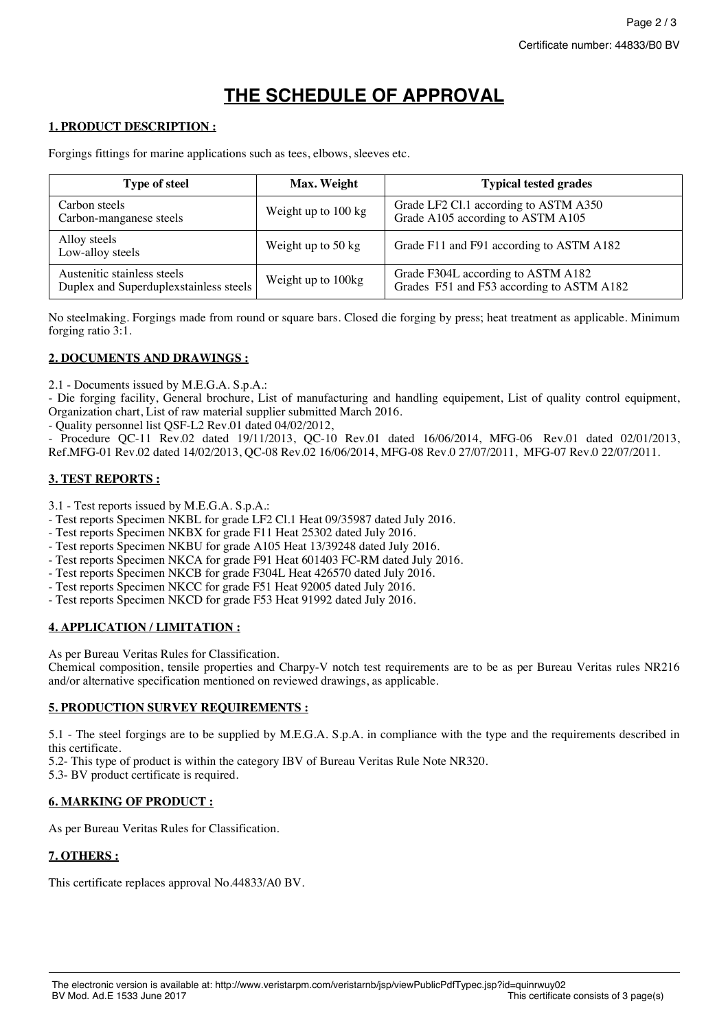## **THE SCHEDULE OF APPROVAL**

#### **1. PRODUCT DESCRIPTION :**

Forgings fittings for marine applications such as tees, elbows, sleeves etc.

| Type of steel                                                         | Max. Weight         | <b>Typical tested grades</b>                                                    |
|-----------------------------------------------------------------------|---------------------|---------------------------------------------------------------------------------|
| Carbon steels<br>Carbon-manganese steels                              | Weight up to 100 kg | Grade LF2 Cl.1 according to ASTM A350<br>Grade A105 according to ASTM A105      |
| Alloy steels<br>Low-alloy steels                                      | Weight up to 50 kg  | Grade F11 and F91 according to ASTM A182                                        |
| Austenitic stainless steels<br>Duplex and Superduplexstainless steels | Weight up to 100kg  | Grade F304L according to ASTM A182<br>Grades F51 and F53 according to ASTM A182 |

No steelmaking. Forgings made from round or square bars. Closed die forging by press; heat treatment as applicable. Minimum forging ratio 3:1.

#### **2. DOCUMENTS AND DRAWINGS :**

2.1 - Documents issued by M.E.G.A. S.p.A.:

- Die forging facility, General brochure, List of manufacturing and handling equipement, List of quality control equipment, Organization chart, List of raw material supplier submitted March 2016.

- Quality personnel list QSF-L2 Rev.01 dated 04/02/2012,

- Procedure QC-11 Rev.02 dated 19/11/2013, QC-10 Rev.01 dated 16/06/2014, MFG-06 Rev.01 dated 02/01/2013, Ref.MFG-01 Rev.02 dated 14/02/2013, QC-08 Rev.02 16/06/2014, MFG-08 Rev.0 27/07/2011, MFG-07 Rev.0 22/07/2011.

#### **3. TEST REPORTS :**

3.1 - Test reports issued by M.E.G.A. S.p.A.:

- Test reports Specimen NKBL for grade LF2 Cl.1 Heat 09/35987 dated July 2016.

- Test reports Specimen NKBX for grade F11 Heat 25302 dated July 2016.
- Test reports Specimen NKBU for grade A105 Heat 13/39248 dated July 2016.
- Test reports Specimen NKCA for grade F91 Heat 601403 FC-RM dated July 2016.
- Test reports Specimen NKCB for grade F304L Heat 426570 dated July 2016.
- Test reports Specimen NKCC for grade F51 Heat 92005 dated July 2016.
- Test reports Specimen NKCD for grade F53 Heat 91992 dated July 2016.

#### **4. APPLICATION / LIMITATION :**

As per Bureau Veritas Rules for Classification.

Chemical composition, tensile properties and Charpy-V notch test requirements are to be as per Bureau Veritas rules NR216 and/or alternative specification mentioned on reviewed drawings, as applicable.

#### **5. PRODUCTION SURVEY REQUIREMENTS :**

5.1 - The steel forgings are to be supplied by M.E.G.A. S.p.A. in compliance with the type and the requirements described in this certificate.

5.2- This type of product is within the category IBV of Bureau Veritas Rule Note NR320.

5.3- BV product certificate is required.

#### **6. MARKING OF PRODUCT :**

As per Bureau Veritas Rules for Classification.

#### **7. OTHERS :**

This certificate replaces approval No.44833/A0 BV.